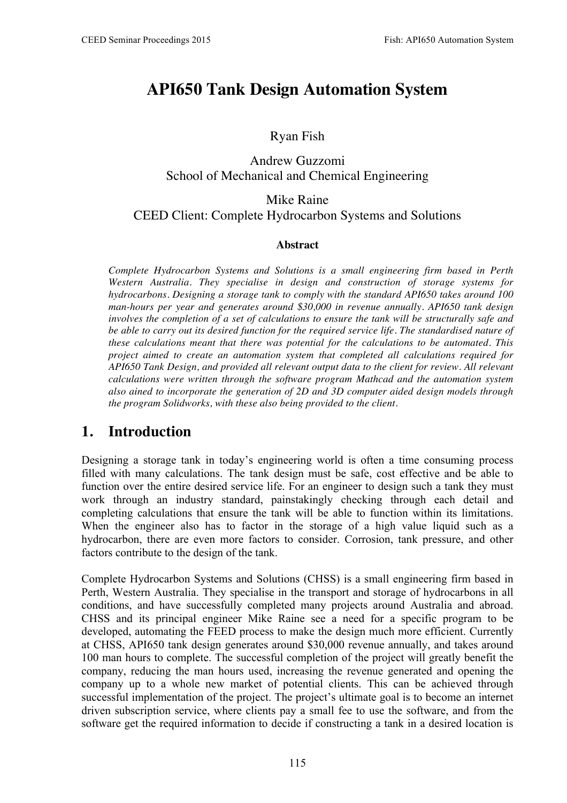# **API650 Tank Design Automation System**

#### Ryan Fish

#### Andrew Guzzomi School of Mechanical and Chemical Engineering

### Mike Raine CEED Client: Complete Hydrocarbon Systems and Solutions

#### **Abstract**

*Complete Hydrocarbon Systems and Solutions is a small engineering firm based in Perth Western Australia. They specialise in design and construction of storage systems for hydrocarbons. Designing a storage tank to comply with the standard API650 takes around 100 man-hours per year and generates around \$30,000 in revenue annually. API650 tank design involves the completion of a set of calculations to ensure the tank will be structurally safe and be able to carry out its desired function for the required service life. The standardised nature of these calculations meant that there was potential for the calculations to be automated. This project aimed to create an automation system that completed all calculations required for API650 Tank Design, and provided all relevant output data to the client for review. All relevant calculations were written through the software program Mathcad and the automation system also ained to incorporate the generation of 2D and 3D computer aided design models through the program Solidworks, with these also being provided to the client.* 

# **1. Introduction**

Designing a storage tank in today's engineering world is often a time consuming process filled with many calculations. The tank design must be safe, cost effective and be able to function over the entire desired service life. For an engineer to design such a tank they must work through an industry standard, painstakingly checking through each detail and completing calculations that ensure the tank will be able to function within its limitations. When the engineer also has to factor in the storage of a high value liquid such as a hydrocarbon, there are even more factors to consider. Corrosion, tank pressure, and other factors contribute to the design of the tank.

Complete Hydrocarbon Systems and Solutions (CHSS) is a small engineering firm based in Perth, Western Australia. They specialise in the transport and storage of hydrocarbons in all conditions, and have successfully completed many projects around Australia and abroad. CHSS and its principal engineer Mike Raine see a need for a specific program to be developed, automating the FEED process to make the design much more efficient. Currently at CHSS, API650 tank design generates around \$30,000 revenue annually, and takes around 100 man hours to complete. The successful completion of the project will greatly benefit the company, reducing the man hours used, increasing the revenue generated and opening the company up to a whole new market of potential clients. This can be achieved through successful implementation of the project. The project's ultimate goal is to become an internet driven subscription service, where clients pay a small fee to use the software, and from the software get the required information to decide if constructing a tank in a desired location is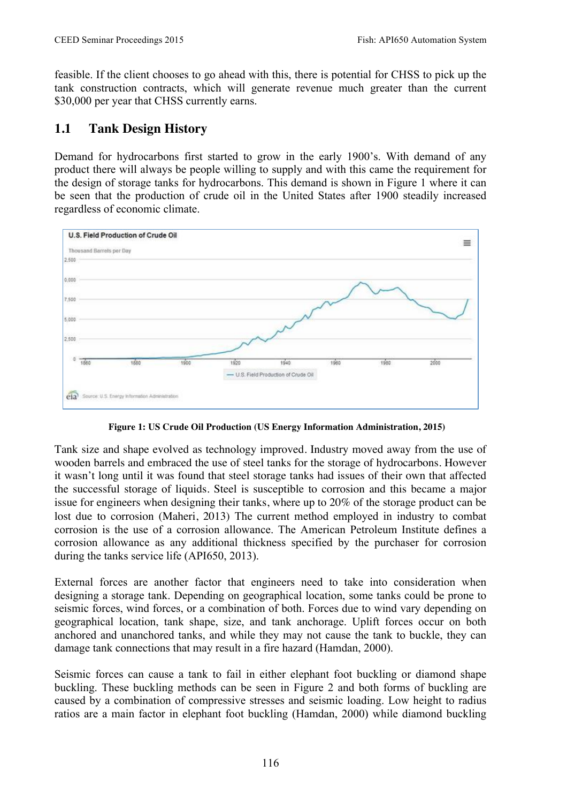feasible. If the client chooses to go ahead with this, there is potential for CHSS to pick up the tank construction contracts, which will generate revenue much greater than the current \$30,000 per year that CHSS currently earns.

#### **1.1 Tank Design History**

Demand for hydrocarbons first started to grow in the early 1900's. With demand of any product there will always be people willing to supply and with this came the requirement for the design of storage tanks for hydrocarbons. This demand is shown in Figure 1 where it can be seen that the production of crude oil in the United States after 1900 steadily increased regardless of economic climate.



**Figure 1: US Crude Oil Production (US Energy Information Administration, 2015)**

Tank size and shape evolved as technology improved. Industry moved away from the use of wooden barrels and embraced the use of steel tanks for the storage of hydrocarbons. However it wasn't long until it was found that steel storage tanks had issues of their own that affected the successful storage of liquids. Steel is susceptible to corrosion and this became a major issue for engineers when designing their tanks, where up to 20% of the storage product can be lost due to corrosion (Maheri, 2013) The current method employed in industry to combat corrosion is the use of a corrosion allowance. The American Petroleum Institute defines a corrosion allowance as any additional thickness specified by the purchaser for corrosion during the tanks service life (API650, 2013).

External forces are another factor that engineers need to take into consideration when designing a storage tank. Depending on geographical location, some tanks could be prone to seismic forces, wind forces, or a combination of both. Forces due to wind vary depending on geographical location, tank shape, size, and tank anchorage. Uplift forces occur on both anchored and unanchored tanks, and while they may not cause the tank to buckle, they can damage tank connections that may result in a fire hazard (Hamdan, 2000).

Seismic forces can cause a tank to fail in either elephant foot buckling or diamond shape buckling. These buckling methods can be seen in Figure 2 and both forms of buckling are caused by a combination of compressive stresses and seismic loading. Low height to radius ratios are a main factor in elephant foot buckling (Hamdan, 2000) while diamond buckling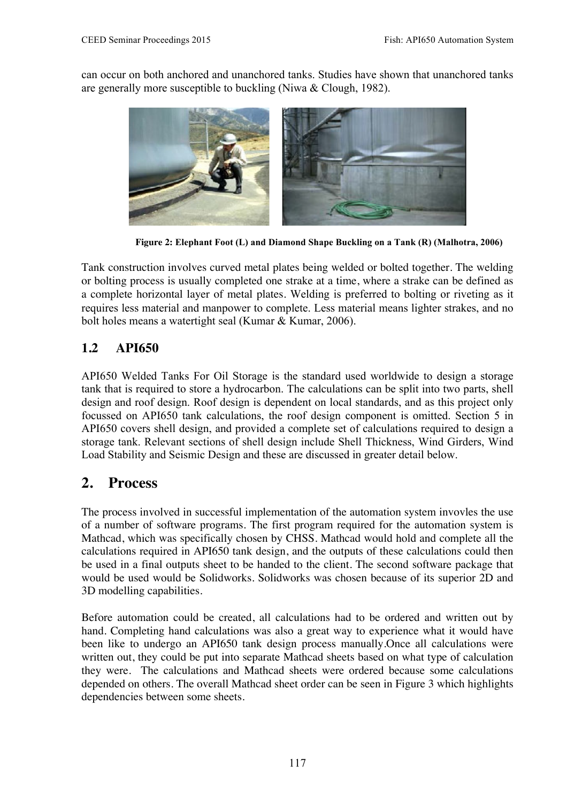can occur on both anchored and unanchored tanks. Studies have shown that unanchored tanks are generally more susceptible to buckling (Niwa & Clough, 1982).



**Figure 2: Elephant Foot (L) and Diamond Shape Buckling on a Tank (R) (Malhotra, 2006)**

Tank construction involves curved metal plates being welded or bolted together. The welding or bolting process is usually completed one strake at a time, where a strake can be defined as a complete horizontal layer of metal plates. Welding is preferred to bolting or riveting as it requires less material and manpower to complete. Less material means lighter strakes, and no bolt holes means a watertight seal (Kumar & Kumar, 2006).

### **1.2 API650**

API650 Welded Tanks For Oil Storage is the standard used worldwide to design a storage tank that is required to store a hydrocarbon. The calculations can be split into two parts, shell design and roof design. Roof design is dependent on local standards, and as this project only focussed on API650 tank calculations, the roof design component is omitted. Section 5 in API650 covers shell design, and provided a complete set of calculations required to design a storage tank. Relevant sections of shell design include Shell Thickness, Wind Girders, Wind Load Stability and Seismic Design and these are discussed in greater detail below.

# **2. Process**

The process involved in successful implementation of the automation system invovles the use of a number of software programs. The first program required for the automation system is Mathcad, which was specifically chosen by CHSS. Mathcad would hold and complete all the calculations required in API650 tank design, and the outputs of these calculations could then be used in a final outputs sheet to be handed to the client. The second software package that would be used would be Solidworks. Solidworks was chosen because of its superior 2D and 3D modelling capabilities.

Before automation could be created, all calculations had to be ordered and written out by hand. Completing hand calculations was also a great way to experience what it would have been like to undergo an API650 tank design process manually.Once all calculations were written out, they could be put into separate Mathcad sheets based on what type of calculation they were. The calculations and Mathcad sheets were ordered because some calculations depended on others. The overall Mathcad sheet order can be seen in Figure 3 which highlights dependencies between some sheets.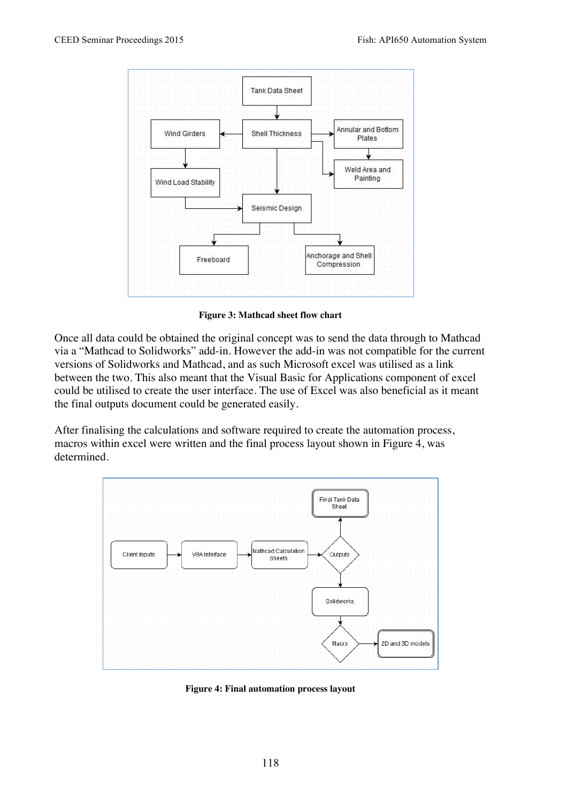

**Figure 3: Mathcad sheet flow chart**

Once all data could be obtained the original concept was to send the data through to Mathcad via a "Mathcad to Solidworks" add-in. However the add-in was not compatible for the current versions of Solidworks and Mathcad, and as such Microsoft excel was utilised as a link between the two. This also meant that the Visual Basic for Applications component of excel could be utilised to create the user interface. The use of Excel was also beneficial as it meant the final outputs document could be generated easily.

After finalising the calculations and software required to create the automation process, macros within excel were written and the final process layout shown in Figure 4, was determined.



**Figure 4: Final automation process layout**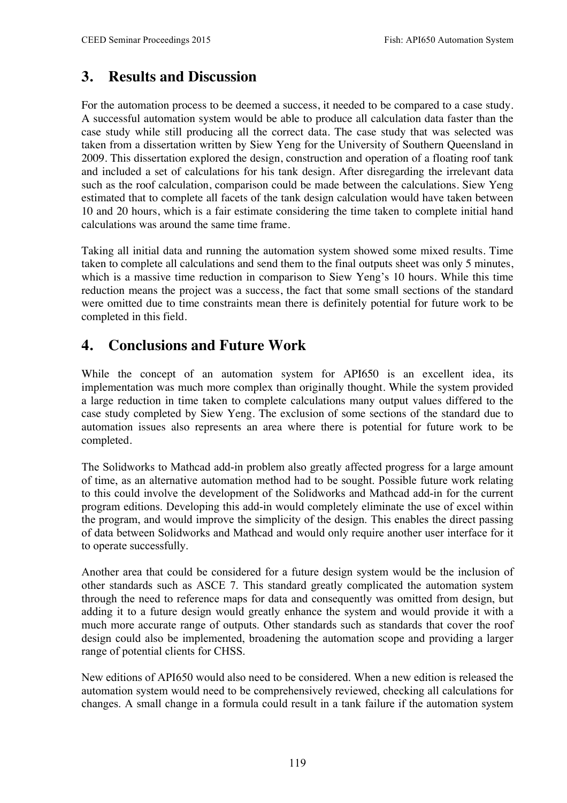# **3. Results and Discussion**

For the automation process to be deemed a success, it needed to be compared to a case study. A successful automation system would be able to produce all calculation data faster than the case study while still producing all the correct data. The case study that was selected was taken from a dissertation written by Siew Yeng for the University of Southern Queensland in 2009. This dissertation explored the design, construction and operation of a floating roof tank and included a set of calculations for his tank design. After disregarding the irrelevant data such as the roof calculation, comparison could be made between the calculations. Siew Yeng estimated that to complete all facets of the tank design calculation would have taken between 10 and 20 hours, which is a fair estimate considering the time taken to complete initial hand calculations was around the same time frame.

Taking all initial data and running the automation system showed some mixed results. Time taken to complete all calculations and send them to the final outputs sheet was only 5 minutes, which is a massive time reduction in comparison to Siew Yeng's 10 hours. While this time reduction means the project was a success, the fact that some small sections of the standard were omitted due to time constraints mean there is definitely potential for future work to be completed in this field.

# **4. Conclusions and Future Work**

While the concept of an automation system for API650 is an excellent idea, its implementation was much more complex than originally thought. While the system provided a large reduction in time taken to complete calculations many output values differed to the case study completed by Siew Yeng. The exclusion of some sections of the standard due to automation issues also represents an area where there is potential for future work to be completed.

The Solidworks to Mathcad add-in problem also greatly affected progress for a large amount of time, as an alternative automation method had to be sought. Possible future work relating to this could involve the development of the Solidworks and Mathcad add-in for the current program editions. Developing this add-in would completely eliminate the use of excel within the program, and would improve the simplicity of the design. This enables the direct passing of data between Solidworks and Mathcad and would only require another user interface for it to operate successfully.

Another area that could be considered for a future design system would be the inclusion of other standards such as ASCE 7. This standard greatly complicated the automation system through the need to reference maps for data and consequently was omitted from design, but adding it to a future design would greatly enhance the system and would provide it with a much more accurate range of outputs. Other standards such as standards that cover the roof design could also be implemented, broadening the automation scope and providing a larger range of potential clients for CHSS.

New editions of API650 would also need to be considered. When a new edition is released the automation system would need to be comprehensively reviewed, checking all calculations for changes. A small change in a formula could result in a tank failure if the automation system